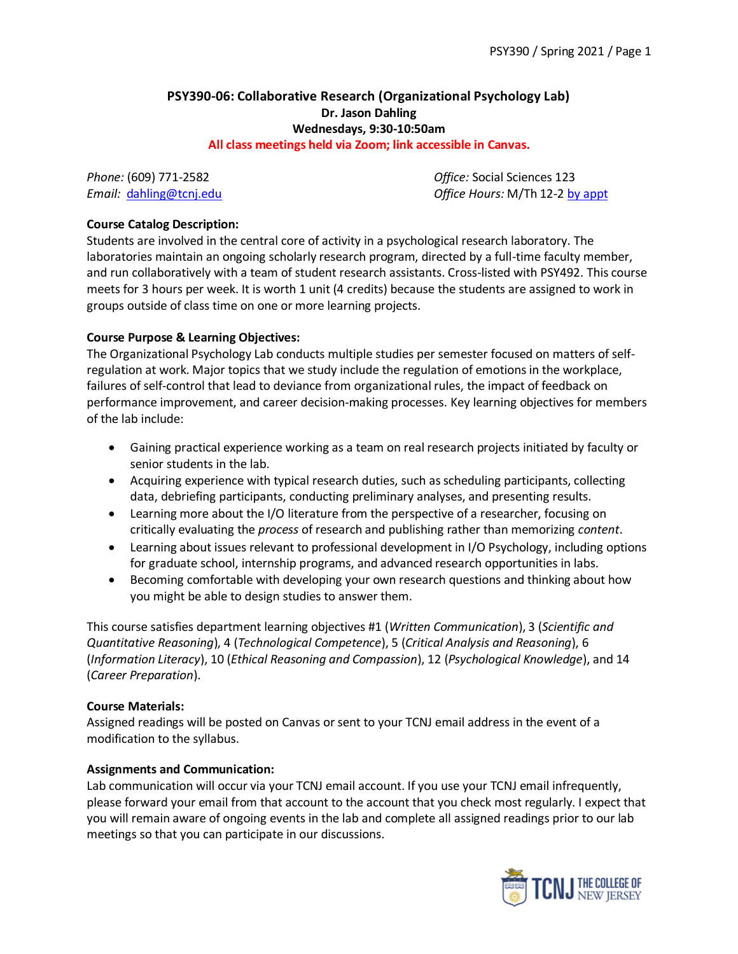# **PSY390-06: Collaborative Research (Organizational Psychology Lab) Dr. Jason Dahling Wednesdays, 9:30-10:50am**

**All class meetings held via Zoom; link accessible in Canvas.**

*Phone:* (609) 771-2582 *Office:* Social Sciences 123 *Email:* [dahling@tcnj.edu](mailto:dahling@tcnj.edu) *Office Hours:* M/Th 12-2 [by appt](https://calendar.google.com/calendar/selfsched?sstoken=UUxuajFYQWlBcWVqfGRlZmF1bHR8NzFhZmI3YzdhNDdiMTU3MTdjMjc3Nzc4OWE1NWY0ZmU)

### **Course Catalog Description:**

Students are involved in the central core of activity in a psychological research laboratory. The laboratories maintain an ongoing scholarly research program, directed by a full-time faculty member, and run collaboratively with a team of student research assistants. Cross-listed with PSY492. This course meets for 3 hours per week. It is worth 1 unit (4 credits) because the students are assigned to work in groups outside of class time on one or more learning projects.

### **Course Purpose & Learning Objectives:**

The Organizational Psychology Lab conducts multiple studies per semester focused on matters of selfregulation at work. Major topics that we study include the regulation of emotions in the workplace, failures of self-control that lead to deviance from organizational rules, the impact of feedback on performance improvement, and career decision-making processes. Key learning objectives for members of the lab include:

- Gaining practical experience working as a team on real research projects initiated by faculty or senior students in the lab.
- Acquiring experience with typical research duties, such as scheduling participants, collecting data, debriefing participants, conducting preliminary analyses, and presenting results.
- Learning more about the I/O literature from the perspective of a researcher, focusing on critically evaluating the *process* of research and publishing rather than memorizing *content*.
- Learning about issues relevant to professional development in I/O Psychology, including options for graduate school, internship programs, and advanced research opportunities in labs.
- Becoming comfortable with developing your own research questions and thinking about how you might be able to design studies to answer them.

This course satisfies department learning objectives #1 (*Written Communication*), 3 (*Scientific and Quantitative Reasoning*), 4 (*Technological Competence*), 5 (*Critical Analysis and Reasoning*), 6 (*Information Literacy*), 10 (*Ethical Reasoning and Compassion*), 12 (*Psychological Knowledge*), and 14 (*Career Preparation*).

#### **Course Materials:**

Assigned readings will be posted on Canvas or sent to your TCNJ email address in the event of a modification to the syllabus.

#### **Assignments and Communication:**

Lab communication will occur via your TCNJ email account. If you use your TCNJ email infrequently, please forward your email from that account to the account that you check most regularly. I expect that you will remain aware of ongoing events in the lab and complete all assigned readings prior to our lab meetings so that you can participate in our discussions.

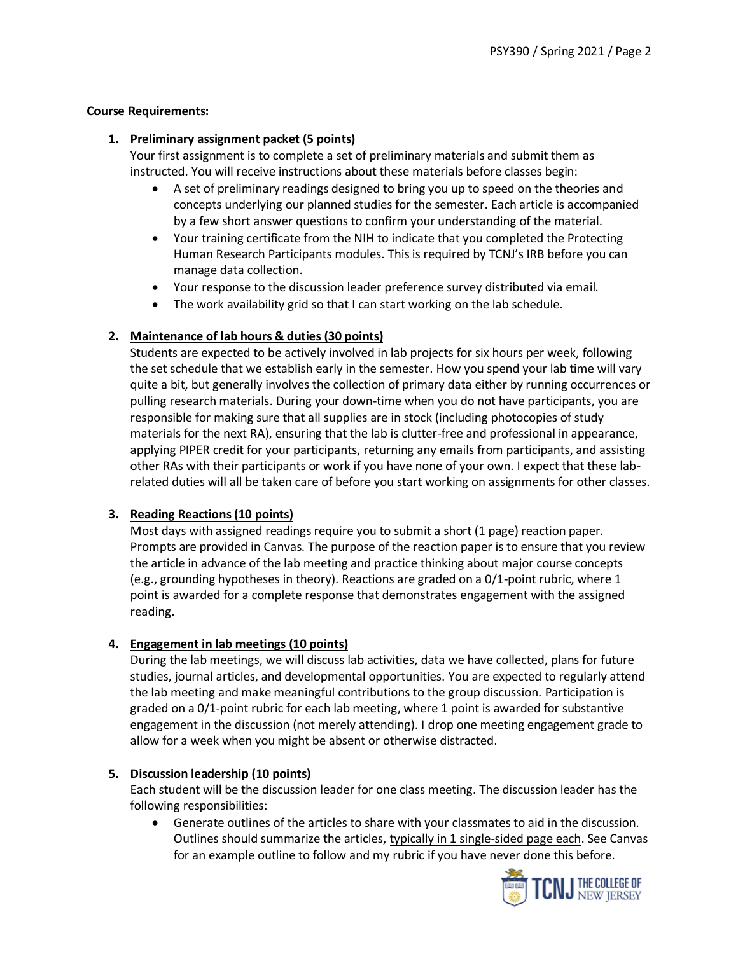## **Course Requirements:**

## **1. Preliminary assignment packet (5 points)**

Your first assignment is to complete a set of preliminary materials and submit them as instructed. You will receive instructions about these materials before classes begin:

- A set of preliminary readings designed to bring you up to speed on the theories and concepts underlying our planned studies for the semester. Each article is accompanied by a few short answer questions to confirm your understanding of the material.
- Your training certificate from the NIH to indicate that you completed the Protecting Human Research Participants modules. This is required by TCNJ's IRB before you can manage data collection.
- Your response to the discussion leader preference survey distributed via email.
- The work availability grid so that I can start working on the lab schedule.

## **2. Maintenance of lab hours & duties (30 points)**

Students are expected to be actively involved in lab projects for six hours per week, following the set schedule that we establish early in the semester. How you spend your lab time will vary quite a bit, but generally involves the collection of primary data either by running occurrences or pulling research materials. During your down-time when you do not have participants, you are responsible for making sure that all supplies are in stock (including photocopies of study materials for the next RA), ensuring that the lab is clutter-free and professional in appearance, applying PIPER credit for your participants, returning any emails from participants, and assisting other RAs with their participants or work if you have none of your own. I expect that these labrelated duties will all be taken care of before you start working on assignments for other classes.

# **3. Reading Reactions (10 points)**

Most days with assigned readings require you to submit a short (1 page) reaction paper. Prompts are provided in Canvas. The purpose of the reaction paper is to ensure that you review the article in advance of the lab meeting and practice thinking about major course concepts (e.g., grounding hypotheses in theory). Reactions are graded on a 0/1-point rubric, where 1 point is awarded for a complete response that demonstrates engagement with the assigned reading.

# **4. Engagement in lab meetings (10 points)**

During the lab meetings, we will discuss lab activities, data we have collected, plans for future studies, journal articles, and developmental opportunities. You are expected to regularly attend the lab meeting and make meaningful contributions to the group discussion. Participation is graded on a 0/1-point rubric for each lab meeting, where 1 point is awarded for substantive engagement in the discussion (not merely attending). I drop one meeting engagement grade to allow for a week when you might be absent or otherwise distracted.

# **5. Discussion leadership (10 points)**

Each student will be the discussion leader for one class meeting. The discussion leader has the following responsibilities:

• Generate outlines of the articles to share with your classmates to aid in the discussion. Outlines should summarize the articles, typically in 1 single-sided page each. See Canvas for an example outline to follow and my rubric if you have never done this before.

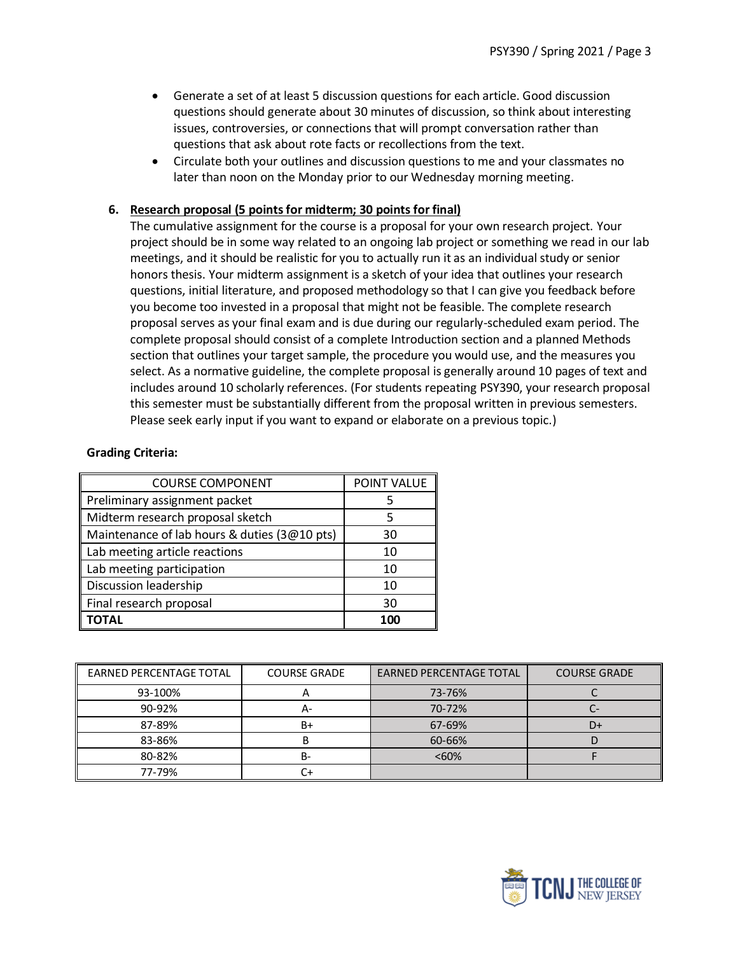- Generate a set of at least 5 discussion questions for each article. Good discussion questions should generate about 30 minutes of discussion, so think about interesting issues, controversies, or connections that will prompt conversation rather than questions that ask about rote facts or recollections from the text.
- Circulate both your outlines and discussion questions to me and your classmates no later than noon on the Monday prior to our Wednesday morning meeting.

### **6. Research proposal (5 points for midterm; 30 points for final)**

The cumulative assignment for the course is a proposal for your own research project. Your project should be in some way related to an ongoing lab project or something we read in our lab meetings, and it should be realistic for you to actually run it as an individual study or senior honors thesis. Your midterm assignment is a sketch of your idea that outlines your research questions, initial literature, and proposed methodology so that I can give you feedback before you become too invested in a proposal that might not be feasible. The complete research proposal serves as your final exam and is due during our regularly-scheduled exam period. The complete proposal should consist of a complete Introduction section and a planned Methods section that outlines your target sample, the procedure you would use, and the measures you select. As a normative guideline, the complete proposal is generally around 10 pages of text and includes around 10 scholarly references. (For students repeating PSY390, your research proposal this semester must be substantially different from the proposal written in previous semesters. Please seek early input if you want to expand or elaborate on a previous topic.)

### **Grading Criteria:**

| <b>COURSE COMPONENT</b>                      | POINT VALUE |
|----------------------------------------------|-------------|
| Preliminary assignment packet                |             |
| Midterm research proposal sketch             | 5           |
| Maintenance of lab hours & duties (3@10 pts) | 30          |
| Lab meeting article reactions                | 10          |
| Lab meeting participation                    | 10          |
| Discussion leadership                        | 10          |
| Final research proposal                      | 30          |
|                                              | 100         |

| <b>EARNED PERCENTAGE TOTAL</b> | <b>COURSE GRADE</b> | <b>EARNED PERCENTAGE TOTAL</b> | <b>COURSE GRADE</b> |  |
|--------------------------------|---------------------|--------------------------------|---------------------|--|
| 93-100%                        |                     | 73-76%                         |                     |  |
| 90-92%                         | А-                  | 70-72%                         |                     |  |
| 87-89%                         | B+                  | 67-69%                         | D+                  |  |
| 83-86%                         |                     | 60-66%                         |                     |  |
| 80-82%                         | B-                  | <60%                           |                     |  |
| 77-79%                         |                     |                                |                     |  |

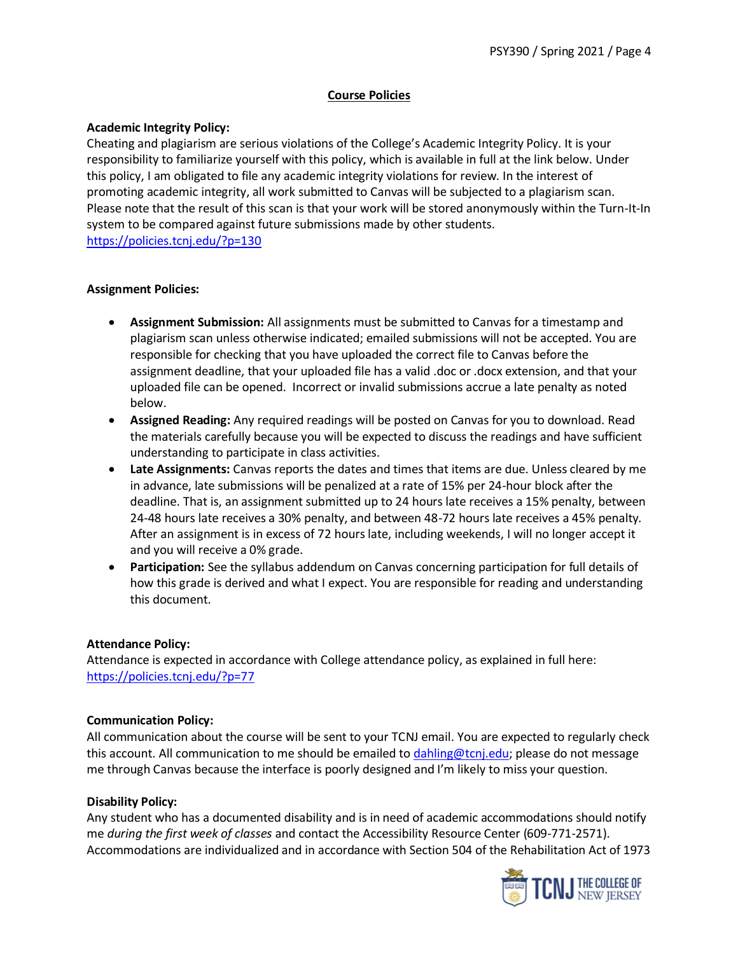## **Course Policies**

### **Academic Integrity Policy:**

Cheating and plagiarism are serious violations of the College's Academic Integrity Policy. It is your responsibility to familiarize yourself with this policy, which is available in full at the link below. Under this policy, I am obligated to file any academic integrity violations for review. In the interest of promoting academic integrity, all work submitted to Canvas will be subjected to a plagiarism scan. Please note that the result of this scan is that your work will be stored anonymously within the Turn-It-In system to be compared against future submissions made by other students. <https://policies.tcnj.edu/?p=130>

### **Assignment Policies:**

- **Assignment Submission:** All assignments must be submitted to Canvas for a timestamp and plagiarism scan unless otherwise indicated; emailed submissions will not be accepted. You are responsible for checking that you have uploaded the correct file to Canvas before the assignment deadline, that your uploaded file has a valid .doc or .docx extension, and that your uploaded file can be opened. Incorrect or invalid submissions accrue a late penalty as noted below.
- **Assigned Reading:** Any required readings will be posted on Canvas for you to download. Read the materials carefully because you will be expected to discuss the readings and have sufficient understanding to participate in class activities.
- **Late Assignments:** Canvas reports the dates and times that items are due. Unless cleared by me in advance, late submissions will be penalized at a rate of 15% per 24-hour block after the deadline. That is, an assignment submitted up to 24 hours late receives a 15% penalty, between 24-48 hours late receives a 30% penalty, and between 48-72 hours late receives a 45% penalty. After an assignment is in excess of 72 hours late, including weekends, I will no longer accept it and you will receive a 0% grade.
- **Participation:** See the syllabus addendum on Canvas concerning participation for full details of how this grade is derived and what I expect. You are responsible for reading and understanding this document.

## **Attendance Policy:**

Attendance is expected in accordance with College attendance policy, as explained in full here: <https://policies.tcnj.edu/?p=77>

### **Communication Policy:**

All communication about the course will be sent to your TCNJ email. You are expected to regularly check this account. All communication to me should be emailed to [dahling@tcnj.edu;](mailto:dahling@tcnj.edu) please do not message me through Canvas because the interface is poorly designed and I'm likely to miss your question.

## **Disability Policy:**

Any student who has a documented disability and is in need of academic accommodations should notify me *during the first week of classes* and contact the Accessibility Resource Center (609-771-2571). Accommodations are individualized and in accordance with Section 504 of the Rehabilitation Act of 1973

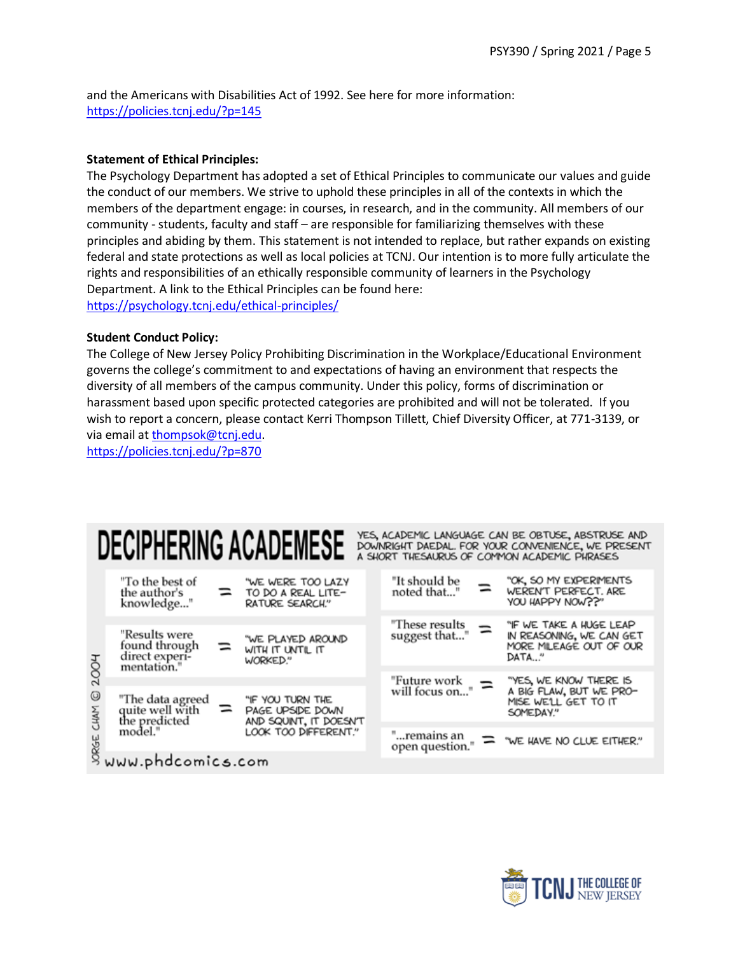and the Americans with Disabilities Act of 1992. See here for more information: <https://policies.tcnj.edu/?p=145>

#### **Statement of Ethical Principles:**

The Psychology Department has adopted a set of Ethical Principles to communicate our values and guide the conduct of our members. We strive to uphold these principles in all of the contexts in which the members of the department engage: in courses, in research, and in the community. All members of our community - students, faculty and staff – are responsible for familiarizing themselves with these principles and abiding by them. This statement is not intended to replace, but rather expands on existing federal and state protections as well as local policies at TCNJ. Our intention is to more fully articulate the rights and responsibilities of an ethically responsible community of learners in the Psychology Department. A link to the Ethical Principles can be found here: <https://psychology.tcnj.edu/ethical-principles/>

#### **Student Conduct Policy:**

The College of New Jersey Policy Prohibiting Discrimination in the Workplace/Educational Environment governs the college's commitment to and expectations of having an environment that respects the diversity of all members of the campus community. Under this policy, forms of discrimination or harassment based upon specific protected categories are prohibited and will not be tolerated. If you wish to report a concern, please contact Kerri Thompson Tillett, Chief Diversity Officer, at 771-3139, or via email at [thompsok@tcnj.edu.](mailto:thompsok@tcnj.edu)

<https://policies.tcnj.edu/?p=870>

|           |                                                                                             |     | <b>DECIPHERING ACADEMESE</b>                                   |  |                                              |  | YES, ACADEMIC LANGUAGE CAN BE OBTUSE, ABSTRUSE AND<br>DOWNRIGHT DAEDAL. FOR YOUR CONVENIENCE, WE PRESENT<br>A SHORT THESAURUS OF COMMON ACADEMIC PHRASES |
|-----------|---------------------------------------------------------------------------------------------|-----|----------------------------------------------------------------|--|----------------------------------------------|--|----------------------------------------------------------------------------------------------------------------------------------------------------------|
|           | "To the best of<br>the author's<br>knowledge"                                               |     | "WE WERE TOO LAZY<br>TO DO A REAL LITE-<br>RATURE SEARCH."     |  | "It should be<br>noted that"                 |  | "OK, SO MY EXPERMENTS<br>WEREN'T PERFECT. ARE<br>YOU HAPPY NOW??"                                                                                        |
| 200H      |                                                                                             |     |                                                                |  |                                              |  | "IF WE TAKE A HUGE LEAP                                                                                                                                  |
|           | "Results were<br>found through<br>direct experi-<br>mentation."                             | $=$ | "WE PLAYED AROUND<br>WITH IT UNTIL IT<br>WORKED."              |  | "These results $\equiv$<br>suggest that"     |  | IN REASONING, WE CAN GET<br>MORE MILEAGE OUT OF OUR<br>DATA"                                                                                             |
|           |                                                                                             |     |                                                                |  |                                              |  |                                                                                                                                                          |
| 0<br>CHAM | "The data agreed<br>quite well with<br>the predicted<br>model."<br>y<br>8 www.phdcomics.com | =   | "IF YOU TURN THE<br>PAGE UPSIDE DOWN<br>AND SQUINT, IT DOESN'T |  | "Future work $\sum_{\text{will focus on}}$ " |  | "YES, WE KNOW THERE IS<br>A BIG FLAW, BUT WE PRO-<br>MISE WE'LL GET TO IT<br>SOMEDAY."                                                                   |
|           |                                                                                             |     | LOOK TOO DIFFERENT."                                           |  |                                              |  | open question." = "WE HAVE NO CLUE EITHER."                                                                                                              |
|           |                                                                                             |     |                                                                |  |                                              |  |                                                                                                                                                          |

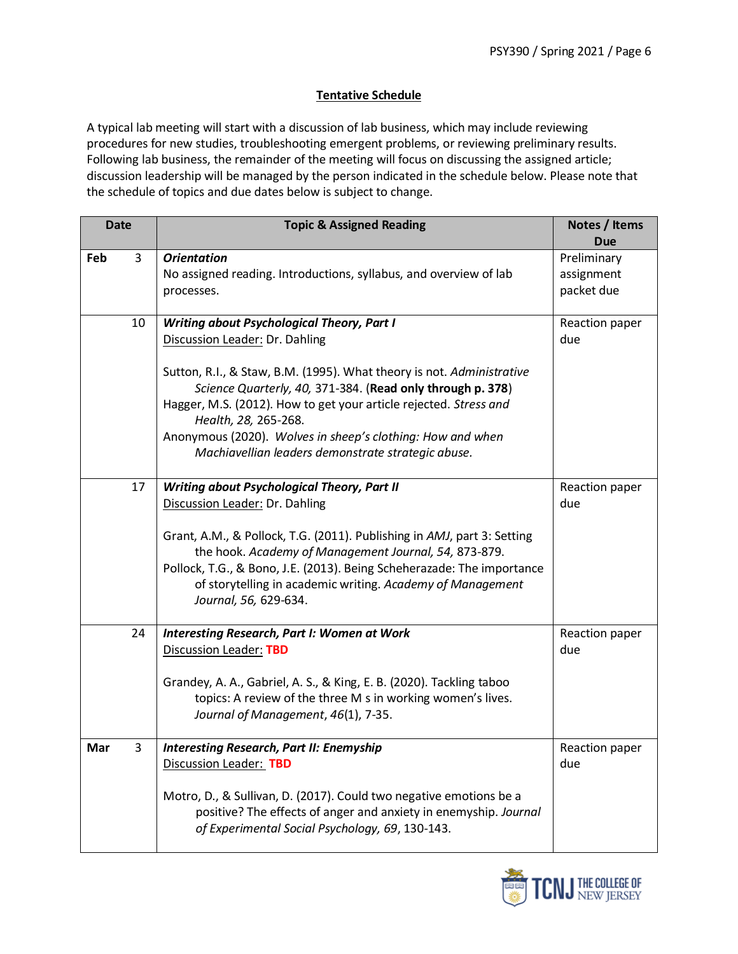### **Tentative Schedule**

A typical lab meeting will start with a discussion of lab business, which may include reviewing procedures for new studies, troubleshooting emergent problems, or reviewing preliminary results. Following lab business, the remainder of the meeting will focus on discussing the assigned article; discussion leadership will be managed by the person indicated in the schedule below. Please note that the schedule of topics and due dates below is subject to change.

| <b>Date</b> | <b>Topic &amp; Assigned Reading</b>                                                                                                                                                                                                                                                                                                                                                       | Notes / Items<br><b>Due</b>             |  |
|-------------|-------------------------------------------------------------------------------------------------------------------------------------------------------------------------------------------------------------------------------------------------------------------------------------------------------------------------------------------------------------------------------------------|-----------------------------------------|--|
| Feb<br>3    | <b>Orientation</b><br>No assigned reading. Introductions, syllabus, and overview of lab<br>processes.                                                                                                                                                                                                                                                                                     | Preliminary<br>assignment<br>packet due |  |
| 10          | <b>Writing about Psychological Theory, Part I</b><br>Discussion Leader: Dr. Dahling<br>Sutton, R.I., & Staw, B.M. (1995). What theory is not. Administrative<br>Science Quarterly, 40, 371-384. (Read only through p. 378)<br>Hagger, M.S. (2012). How to get your article rejected. Stress and<br>Health, 28, 265-268.<br>Anonymous (2020). Wolves in sheep's clothing: How and when     |                                         |  |
|             | Machiavellian leaders demonstrate strategic abuse.                                                                                                                                                                                                                                                                                                                                        |                                         |  |
| 17          | <b>Writing about Psychological Theory, Part II</b><br>Discussion Leader: Dr. Dahling<br>Grant, A.M., & Pollock, T.G. (2011). Publishing in AMJ, part 3: Setting<br>the hook. Academy of Management Journal, 54, 873-879.<br>Pollock, T.G., & Bono, J.E. (2013). Being Scheherazade: The importance<br>of storytelling in academic writing. Academy of Management<br>Journal, 56, 629-634. | Reaction paper<br>due                   |  |
| 24          | <b>Interesting Research, Part I: Women at Work</b><br><b>Discussion Leader: TBD</b><br>Grandey, A. A., Gabriel, A. S., & King, E. B. (2020). Tackling taboo<br>topics: A review of the three M s in working women's lives.<br>Journal of Management, 46(1), 7-35.                                                                                                                         | Reaction paper<br>due                   |  |
| 3<br>Mar    | <b>Interesting Research, Part II: Enemyship</b><br>Discussion Leader: TBD<br>Motro, D., & Sullivan, D. (2017). Could two negative emotions be a<br>positive? The effects of anger and anxiety in enemyship. Journal<br>of Experimental Social Psychology, 69, 130-143.                                                                                                                    |                                         |  |

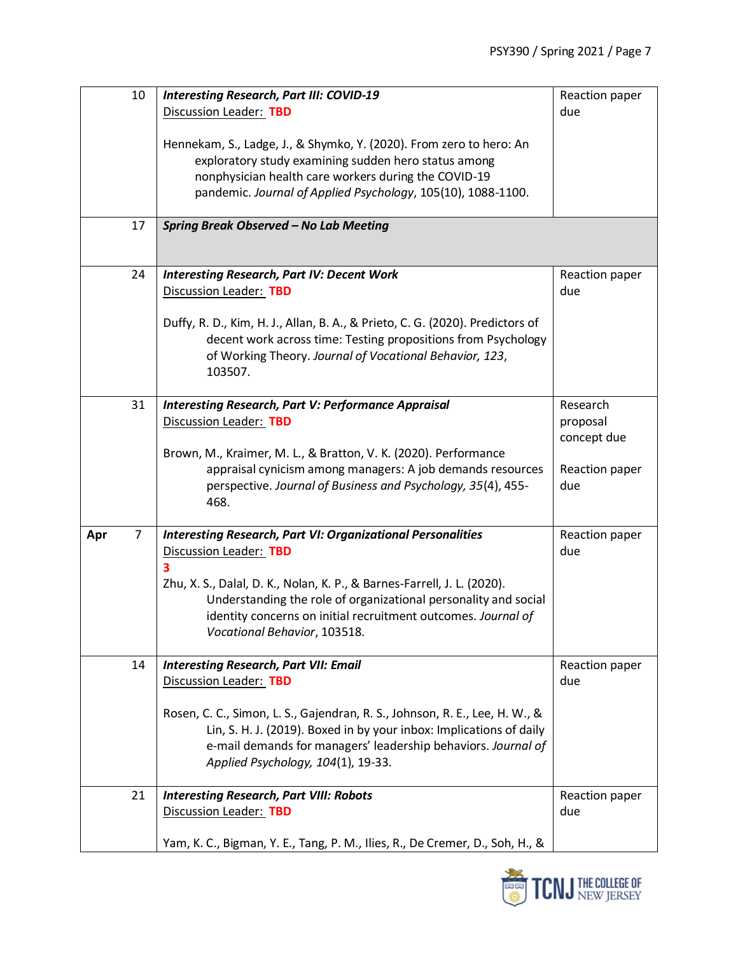| 17                    | Discussion Leader: TBD<br>Hennekam, S., Ladge, J., & Shymko, Y. (2020). From zero to hero: An<br>exploratory study examining sudden hero status among<br>nonphysician health care workers during the COVID-19<br>pandemic. Journal of Applied Psychology, 105(10), 1088-1100.<br><b>Spring Break Observed - No Lab Meeting</b> | due            |  |  |  |
|-----------------------|--------------------------------------------------------------------------------------------------------------------------------------------------------------------------------------------------------------------------------------------------------------------------------------------------------------------------------|----------------|--|--|--|
|                       |                                                                                                                                                                                                                                                                                                                                |                |  |  |  |
|                       |                                                                                                                                                                                                                                                                                                                                |                |  |  |  |
|                       |                                                                                                                                                                                                                                                                                                                                |                |  |  |  |
|                       |                                                                                                                                                                                                                                                                                                                                |                |  |  |  |
|                       |                                                                                                                                                                                                                                                                                                                                |                |  |  |  |
|                       |                                                                                                                                                                                                                                                                                                                                |                |  |  |  |
|                       |                                                                                                                                                                                                                                                                                                                                |                |  |  |  |
|                       |                                                                                                                                                                                                                                                                                                                                |                |  |  |  |
|                       |                                                                                                                                                                                                                                                                                                                                |                |  |  |  |
|                       |                                                                                                                                                                                                                                                                                                                                |                |  |  |  |
| 24                    | <b>Interesting Research, Part IV: Decent Work</b>                                                                                                                                                                                                                                                                              | Reaction paper |  |  |  |
|                       | Discussion Leader: TBD                                                                                                                                                                                                                                                                                                         | due            |  |  |  |
|                       |                                                                                                                                                                                                                                                                                                                                |                |  |  |  |
|                       | Duffy, R. D., Kim, H. J., Allan, B. A., & Prieto, C. G. (2020). Predictors of                                                                                                                                                                                                                                                  |                |  |  |  |
|                       | decent work across time: Testing propositions from Psychology                                                                                                                                                                                                                                                                  |                |  |  |  |
|                       | of Working Theory. Journal of Vocational Behavior, 123,                                                                                                                                                                                                                                                                        |                |  |  |  |
|                       | 103507.                                                                                                                                                                                                                                                                                                                        |                |  |  |  |
|                       |                                                                                                                                                                                                                                                                                                                                |                |  |  |  |
| 31                    | <b>Interesting Research, Part V: Performance Appraisal</b>                                                                                                                                                                                                                                                                     | Research       |  |  |  |
|                       | Discussion Leader: TBD                                                                                                                                                                                                                                                                                                         |                |  |  |  |
|                       | proposal<br>concept due                                                                                                                                                                                                                                                                                                        |                |  |  |  |
|                       | Brown, M., Kraimer, M. L., & Bratton, V. K. (2020). Performance                                                                                                                                                                                                                                                                |                |  |  |  |
|                       | appraisal cynicism among managers: A job demands resources                                                                                                                                                                                                                                                                     | Reaction paper |  |  |  |
|                       | perspective. Journal of Business and Psychology, 35(4), 455-                                                                                                                                                                                                                                                                   | due            |  |  |  |
|                       | 468.                                                                                                                                                                                                                                                                                                                           |                |  |  |  |
|                       |                                                                                                                                                                                                                                                                                                                                |                |  |  |  |
| $\overline{7}$<br>Apr | <b>Interesting Research, Part VI: Organizational Personalities</b>                                                                                                                                                                                                                                                             | Reaction paper |  |  |  |
|                       | Discussion Leader: TBD                                                                                                                                                                                                                                                                                                         | due            |  |  |  |
|                       | 3                                                                                                                                                                                                                                                                                                                              |                |  |  |  |
|                       | Zhu, X. S., Dalal, D. K., Nolan, K. P., & Barnes-Farrell, J. L. (2020).                                                                                                                                                                                                                                                        |                |  |  |  |
|                       | Understanding the role of organizational personality and social                                                                                                                                                                                                                                                                |                |  |  |  |
|                       | identity concerns on initial recruitment outcomes. Journal of                                                                                                                                                                                                                                                                  |                |  |  |  |
|                       | Vocational Behavior, 103518.                                                                                                                                                                                                                                                                                                   |                |  |  |  |
|                       |                                                                                                                                                                                                                                                                                                                                |                |  |  |  |
| 14                    | <b>Interesting Research, Part VII: Email</b>                                                                                                                                                                                                                                                                                   | Reaction paper |  |  |  |
|                       | Discussion Leader: TBD                                                                                                                                                                                                                                                                                                         | due            |  |  |  |
|                       |                                                                                                                                                                                                                                                                                                                                |                |  |  |  |
|                       | Rosen, C. C., Simon, L. S., Gajendran, R. S., Johnson, R. E., Lee, H. W., &                                                                                                                                                                                                                                                    |                |  |  |  |
|                       | Lin, S. H. J. (2019). Boxed in by your inbox: Implications of daily                                                                                                                                                                                                                                                            |                |  |  |  |
|                       | e-mail demands for managers' leadership behaviors. Journal of                                                                                                                                                                                                                                                                  |                |  |  |  |
|                       | Applied Psychology, 104(1), 19-33.                                                                                                                                                                                                                                                                                             |                |  |  |  |
|                       |                                                                                                                                                                                                                                                                                                                                |                |  |  |  |
| 21                    | <b>Interesting Research, Part VIII: Robots</b>                                                                                                                                                                                                                                                                                 | Reaction paper |  |  |  |
|                       |                                                                                                                                                                                                                                                                                                                                |                |  |  |  |
|                       |                                                                                                                                                                                                                                                                                                                                |                |  |  |  |
|                       | Yam, K. C., Bigman, Y. E., Tang, P. M., Ilies, R., De Cremer, D., Soh, H., &                                                                                                                                                                                                                                                   |                |  |  |  |
|                       | Discussion Leader: TBD                                                                                                                                                                                                                                                                                                         | due            |  |  |  |